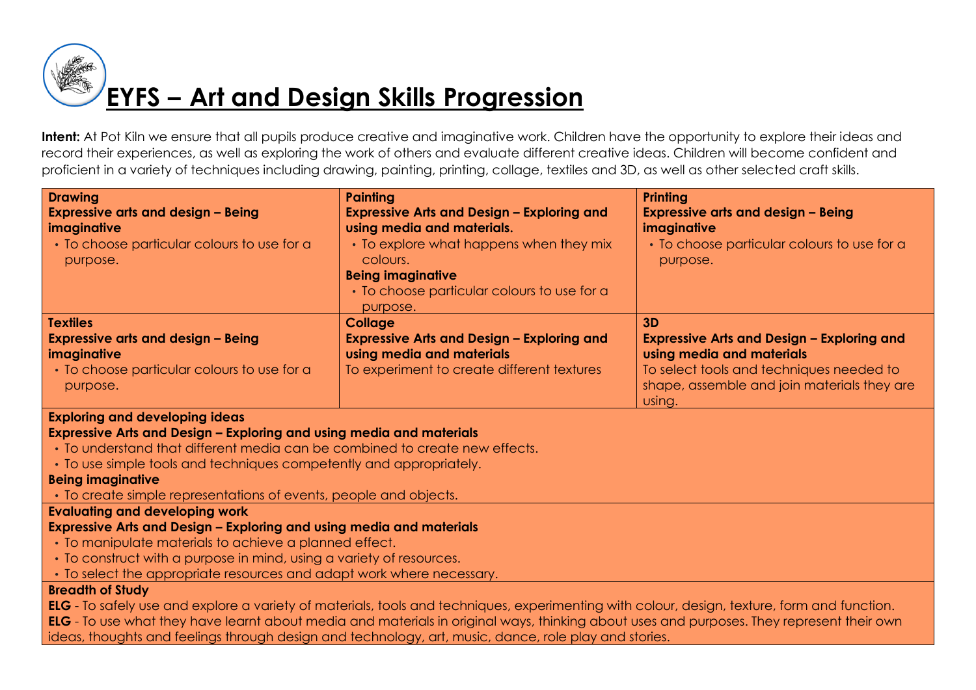# **EYFS – Art and Design Skills Progression**

Intent: At Pot Kiln we ensure that all pupils produce creative and imaginative work. Children have the opportunity to explore their ideas and record their experiences, as well as exploring the work of others and evaluate different creative ideas. Children will become confident and proficient in a variety of techniques including drawing, painting, printing, collage, textiles and 3D, as well as other selected craft skills.

| <b>Drawing</b>                                                                                                                               | <b>Painting</b>                                         | <b>Printing</b>                                   |
|----------------------------------------------------------------------------------------------------------------------------------------------|---------------------------------------------------------|---------------------------------------------------|
| <b>Expressive arts and design - Being</b>                                                                                                    | <b>Expressive Arts and Design - Exploring and</b>       | <b>Expressive arts and design - Being</b>         |
| imaginative                                                                                                                                  | using media and materials.                              | imaginative                                       |
| • To choose particular colours to use for a                                                                                                  | • To explore what happens when they mix                 | • To choose particular colours to use for a       |
| purpose.                                                                                                                                     | colours.                                                | purpose.                                          |
|                                                                                                                                              | <b>Being imaginative</b>                                |                                                   |
|                                                                                                                                              | • To choose particular colours to use for a<br>purpose. |                                                   |
| <b>Textiles</b>                                                                                                                              | <b>Collage</b>                                          | 3D                                                |
| <b>Expressive arts and design - Being</b>                                                                                                    | <b>Expressive Arts and Design - Exploring and</b>       | <b>Expressive Arts and Design - Exploring and</b> |
| imaginative                                                                                                                                  | using media and materials                               | using media and materials                         |
| • To choose particular colours to use for a                                                                                                  | To experiment to create different textures              | To select tools and techniques needed to          |
| purpose.                                                                                                                                     |                                                         | shape, assemble and join materials they are       |
|                                                                                                                                              |                                                         | using.                                            |
| <b>Exploring and developing ideas</b>                                                                                                        |                                                         |                                                   |
| Expressive Arts and Design - Exploring and using media and materials                                                                         |                                                         |                                                   |
| • To understand that different media can be combined to create new effects.                                                                  |                                                         |                                                   |
| • To use simple tools and techniques competently and appropriately.                                                                          |                                                         |                                                   |
| <b>Being imaginative</b>                                                                                                                     |                                                         |                                                   |
| • To create simple representations of events, people and objects.                                                                            |                                                         |                                                   |
| <b>Evaluating and developing work</b>                                                                                                        |                                                         |                                                   |
| Expressive Arts and Design - Exploring and using media and materials                                                                         |                                                         |                                                   |
| • To manipulate materials to achieve a planned effect.                                                                                       |                                                         |                                                   |
| • To construct with a purpose in mind, using a variety of resources.                                                                         |                                                         |                                                   |
| • To select the appropriate resources and adapt work where necessary.                                                                        |                                                         |                                                   |
| <b>Breadth of Study</b>                                                                                                                      |                                                         |                                                   |
| ELG - To safely use and explore a variety of materials, tools and techniques, experimenting with colour, design, texture, form and function. |                                                         |                                                   |
| FIC - To use what they have learnt about media and materials in original ways thinking about uses and purposes. They represent their own     |                                                         |                                                   |

**ELG** - To use what they have learnt about media and materials in original ways, thinking about uses and purposes. They represent their own ideas, thoughts and feelings through design and technology, art, music, dance, role play and stories.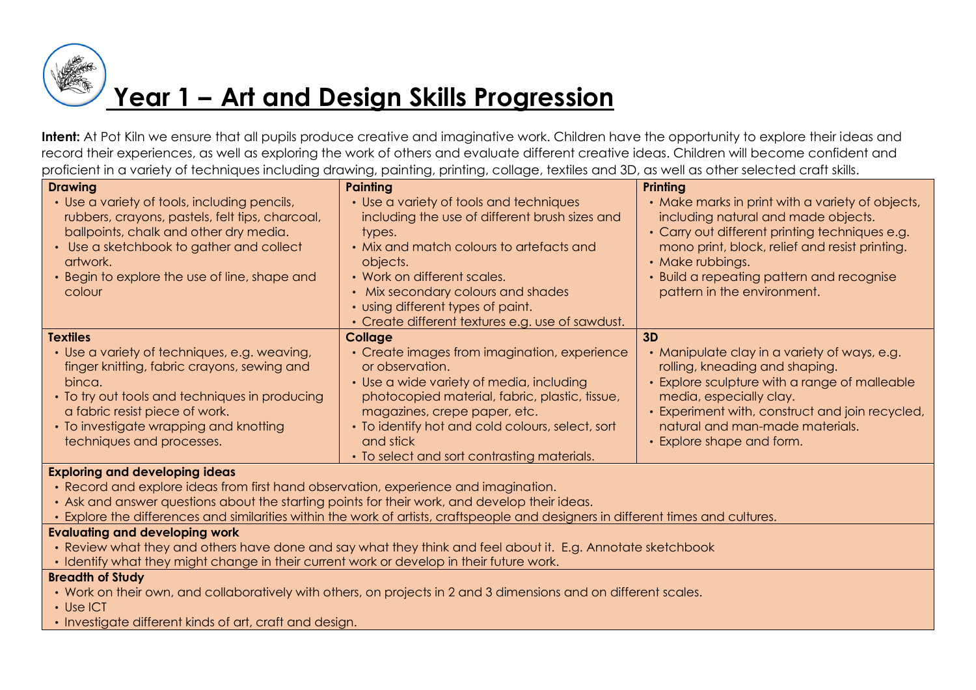

### **Year 1 – Art and Design Skills Progression**

**Intent:** At Pot Kiln we ensure that all pupils produce creative and imaginative work. Children have the opportunity to explore their ideas and record their experiences, as well as exploring the work of others and evaluate different creative ideas. Children will become confident and proficient in a variety of techniques including drawing, painting, printing, collage, textiles and 3D, as well as other selected craft skills.

| <b>Drawing</b>                                                                                                                                                                                                                                                   | Painting                                                                                                                                                                                                                                                                                                                  | Printing                                                                                                                                                                                                                                                                                    |
|------------------------------------------------------------------------------------------------------------------------------------------------------------------------------------------------------------------------------------------------------------------|---------------------------------------------------------------------------------------------------------------------------------------------------------------------------------------------------------------------------------------------------------------------------------------------------------------------------|---------------------------------------------------------------------------------------------------------------------------------------------------------------------------------------------------------------------------------------------------------------------------------------------|
| • Use a variety of tools, including pencils,<br>rubbers, crayons, pastels, felt tips, charcoal,<br>ballpoints, chalk and other dry media.<br>• Use a sketchbook to gather and collect<br>artwork.<br>• Begin to explore the use of line, shape and<br>colour     | • Use a variety of tools and techniques<br>including the use of different brush sizes and<br>types.<br>• Mix and match colours to artefacts and<br>objects.<br>• Work on different scales.<br>• Mix secondary colours and shades<br>• using different types of paint.<br>• Create different textures e.g. use of sawdust. | • Make marks in print with a variety of objects,<br>including natural and made objects.<br>• Carry out different printing techniques e.g.<br>mono print, block, relief and resist printing.<br>• Make rubbings.<br>• Build a repeating pattern and recognise<br>pattern in the environment. |
| <b>Textiles</b>                                                                                                                                                                                                                                                  | Collage                                                                                                                                                                                                                                                                                                                   | 3D                                                                                                                                                                                                                                                                                          |
| • Use a variety of techniques, e.g. weaving,<br>finger knitting, fabric crayons, sewing and<br>binca.<br>• To try out tools and techniques in producing<br>a fabric resist piece of work.<br>• To investigate wrapping and knotting<br>techniques and processes. | • Create images from imagination, experience<br>or observation.<br>• Use a wide variety of media, including<br>photocopied material, fabric, plastic, tissue,<br>magazines, crepe paper, etc.<br>• To identify hot and cold colours, select, sort<br>and stick<br>• To select and sort contrasting materials.             | • Manipulate clay in a variety of ways, e.g.<br>rolling, kneading and shaping.<br>• Explore sculpture with a range of malleable<br>media, especially clay.<br>• Experiment with, construct and join recycled,<br>natural and man-made materials.<br>• Explore shape and form.               |

### **Exploring and developing ideas**

- Record and explore ideas from first hand observation, experience and imagination.
- Ask and answer questions about the starting points for their work, and develop their ideas.
- Explore the differences and similarities within the work of artists, craftspeople and designers in different times and cultures.

### **Evaluating and developing work**

- Review what they and others have done and say what they think and feel about it. E.g. Annotate sketchbook
- Identify what they might change in their current work or develop in their future work.

- Work on their own, and collaboratively with others, on projects in 2 and 3 dimensions and on different scales.
- Use ICT
- Investigate different kinds of art, craft and design.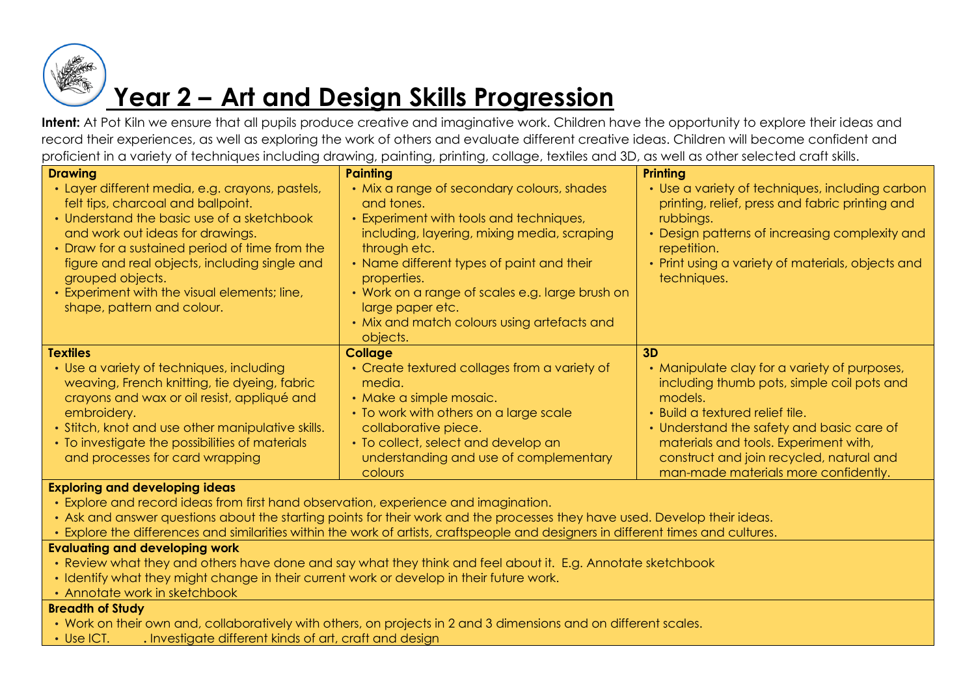

## **Year 2 – Art and Design Skills Progression**

Intent: At Pot Kiln we ensure that all pupils produce creative and imaginative work. Children have the opportunity to explore their ideas and record their experiences, as well as exploring the work of others and evaluate different creative ideas. Children will become confident and proficient in a variety of techniques including drawing, painting, printing, collage, textiles and 3D, as well as other selected craft skills.

| <b>Drawing</b>                                                                                                                                                                                                                                                                                                                                                               | <b>Painting</b>                                                                                                                                                                                                                                                                                                                                                  | <b>Printing</b>                                                                                                                                                                                                                                                                                                          |
|------------------------------------------------------------------------------------------------------------------------------------------------------------------------------------------------------------------------------------------------------------------------------------------------------------------------------------------------------------------------------|------------------------------------------------------------------------------------------------------------------------------------------------------------------------------------------------------------------------------------------------------------------------------------------------------------------------------------------------------------------|--------------------------------------------------------------------------------------------------------------------------------------------------------------------------------------------------------------------------------------------------------------------------------------------------------------------------|
| • Layer different media, e.g. crayons, pastels,<br>felt tips, charcoal and ballpoint.<br>• Understand the basic use of a sketchbook<br>and work out ideas for drawings.<br>• Draw for a sustained period of time from the<br>figure and real objects, including single and<br>grouped objects.<br>• Experiment with the visual elements; line,<br>shape, pattern and colour. | • Mix a range of secondary colours, shades<br>and tones.<br>• Experiment with tools and techniques,<br>including, layering, mixing media, scraping<br>through etc.<br>• Name different types of paint and their<br>properties.<br>• Work on a range of scales e.g. large brush on<br>large paper etc.<br>• Mix and match colours using artefacts and<br>objects. | • Use a variety of techniques, including carbon<br>printing, relief, press and fabric printing and<br>rubbings.<br>• Design patterns of increasing complexity and<br>repetition.<br>• Print using a variety of materials, objects and<br>techniques.                                                                     |
| <b>Textiles</b><br>• Use a variety of techniques, including<br>weaving, French knitting, tie dyeing, fabric<br>crayons and wax or oil resist, appliqué and<br>embroidery.<br>• Stitch, knot and use other manipulative skills.<br>• To investigate the possibilities of materials<br>and processes for card wrapping                                                         | <b>Collage</b><br>• Create textured collages from a variety of<br>media.<br>• Make a simple mosaic.<br>• To work with others on a large scale<br>collaborative piece.<br>• To collect, select and develop an<br>understanding and use of complementary<br>colours                                                                                                | 3D<br>• Manipulate clay for a variety of purposes,<br>including thumb pots, simple coil pots and<br>models.<br>• Build a textured relief tile.<br>• Understand the safety and basic care of<br>materials and tools. Experiment with,<br>construct and join recycled, natural and<br>man-made materials more confidently. |

#### **Exploring and developing ideas**

- Explore and record ideas from first hand observation, experience and imagination.
- Ask and answer questions about the starting points for their work and the processes they have used. Develop their ideas.
- Explore the differences and similarities within the work of artists, craftspeople and designers in different times and cultures.

### **Evaluating and developing work**

- Review what they and others have done and say what they think and feel about it. E.g. Annotate sketchbook
- Identify what they might change in their current work or develop in their future work.
- Annotate work in sketchbook

- Work on their own and, collaboratively with others, on projects in 2 and 3 dimensions and on different scales.
- Use ICT. **.** Investigate different kinds of art, craft and design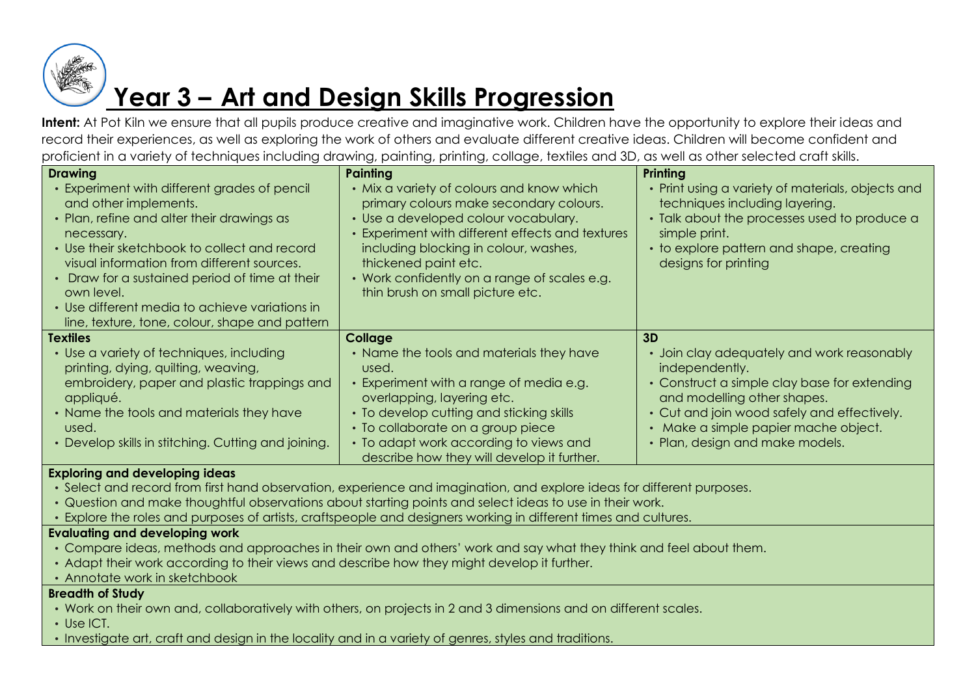

## **Year 3 – Art and Design Skills Progression**

**Intent:** At Pot Kiln we ensure that all pupils produce creative and imaginative work. Children have the opportunity to explore their ideas and record their experiences, as well as exploring the work of others and evaluate different creative ideas. Children will become confident and proficient in a variety of techniques including drawing, painting, printing, collage, textiles and 3D, as well as other selected craft skills.

| <b>Drawing</b>                                                                                                                                                                                                                                                                                                                                                                                      | Painting                                                                                                                                                                                                                                                                                                                              | Printing                                                                                                                                                                                                                                                              |
|-----------------------------------------------------------------------------------------------------------------------------------------------------------------------------------------------------------------------------------------------------------------------------------------------------------------------------------------------------------------------------------------------------|---------------------------------------------------------------------------------------------------------------------------------------------------------------------------------------------------------------------------------------------------------------------------------------------------------------------------------------|-----------------------------------------------------------------------------------------------------------------------------------------------------------------------------------------------------------------------------------------------------------------------|
| • Experiment with different grades of pencil<br>and other implements.<br>• Plan, refine and alter their drawings as<br>necessary.<br>• Use their sketchbook to collect and record<br>visual information from different sources.<br>• Draw for a sustained period of time at their<br>own level.<br>• Use different media to achieve variations in<br>line, texture, tone, colour, shape and pattern | • Mix a variety of colours and know which<br>primary colours make secondary colours.<br>• Use a developed colour vocabulary.<br>• Experiment with different effects and textures<br>including blocking in colour, washes,<br>thickened paint etc.<br>• Work confidently on a range of scales e.g.<br>thin brush on small picture etc. | • Print using a variety of materials, objects and<br>techniques including layering.<br>• Talk about the processes used to produce a<br>simple print.<br>• to explore pattern and shape, creating<br>designs for printing                                              |
| <b>Textiles</b>                                                                                                                                                                                                                                                                                                                                                                                     | Collage                                                                                                                                                                                                                                                                                                                               | 3D                                                                                                                                                                                                                                                                    |
| • Use a variety of techniques, including<br>printing, dying, quilting, weaving,<br>embroidery, paper and plastic trappings and<br>appliqué.<br>• Name the tools and materials they have<br>used.<br>• Develop skills in stitching. Cutting and joining.                                                                                                                                             | • Name the tools and materials they have<br>used.<br>• Experiment with a range of media e.g.<br>overlapping, layering etc.<br>• To develop cutting and sticking skills<br>• To collaborate on a group piece<br>• To adapt work according to views and<br>describe how they will develop it further.                                   | • Join clay adequately and work reasonably<br>independently.<br>• Construct a simple clay base for extending<br>and modelling other shapes.<br>• Cut and join wood safely and effectively.<br>• Make a simple papier mache object.<br>• Plan, design and make models. |

### **Exploring and developing ideas**

- Select and record from first hand observation, experience and imagination, and explore ideas for different purposes.
- Question and make thoughtful observations about starting points and select ideas to use in their work.
- Explore the roles and purposes of artists, craftspeople and designers working in different times and cultures.

### **Evaluating and developing work**

- Compare ideas, methods and approaches in their own and others' work and say what they think and feel about them.
- Adapt their work according to their views and describe how they might develop it further.
- Annotate work in sketchbook

- Work on their own and, collaboratively with others, on projects in 2 and 3 dimensions and on different scales.
- Use ICT.
- Investigate art, craft and design in the locality and in a variety of genres, styles and traditions.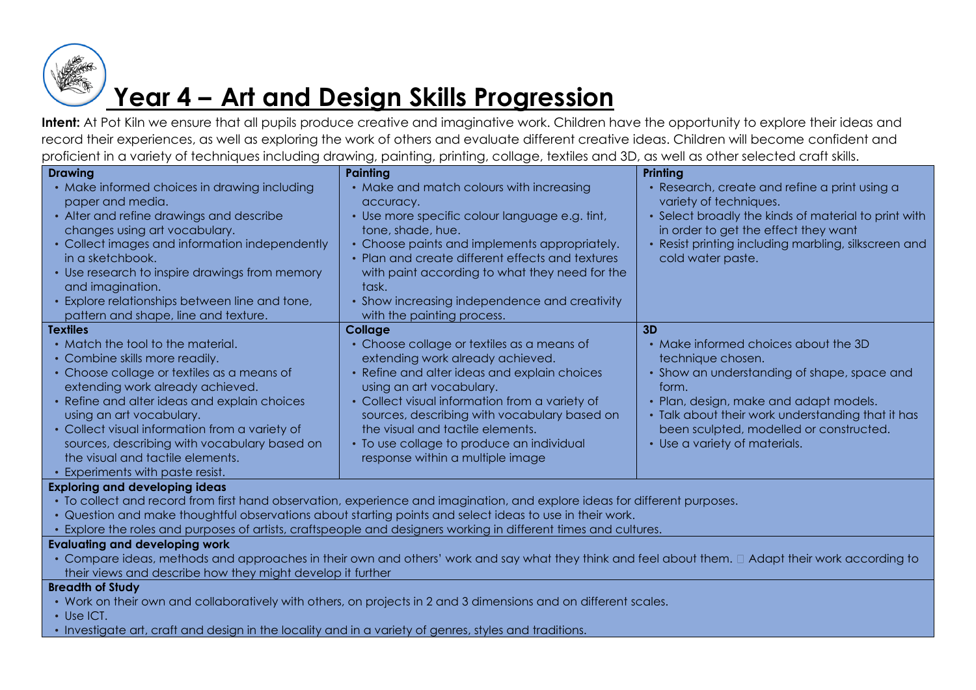

### **Year 4 – Art and Design Skills Progression**

**Intent:** At Pot Kiln we ensure that all pupils produce creative and imaginative work. Children have the opportunity to explore their ideas and record their experiences, as well as exploring the work of others and evaluate different creative ideas. Children will become confident and proficient in a variety of techniques including drawing, painting, printing, collage, textiles and 3D, as well as other selected craft skills.

| <b>Drawing</b>                                                                                                                                                                                  | Painting                                                                                                                                                                                   | Printing                                                                                                                                                                                                                        |
|-------------------------------------------------------------------------------------------------------------------------------------------------------------------------------------------------|--------------------------------------------------------------------------------------------------------------------------------------------------------------------------------------------|---------------------------------------------------------------------------------------------------------------------------------------------------------------------------------------------------------------------------------|
| • Make informed choices in drawing including<br>paper and media.<br>• Alter and refine drawings and describe<br>changes using art vocabulary.<br>• Collect images and information independently | • Make and match colours with increasing<br>accuracy.<br>· Use more specific colour language e.g. tint,<br>tone, shade, hue.<br>• Choose paints and implements appropriately.              | • Research, create and refine a print using a<br>variety of techniques.<br>• Select broadly the kinds of material to print with<br>in order to get the effect they want<br>• Resist printing including marbling, silkscreen and |
| in a sketchbook.<br>• Use research to inspire drawings from memory<br>and imagination.<br>• Explore relationships between line and tone,<br>pattern and shape, line and texture.                | • Plan and create different effects and textures<br>with paint according to what they need for the<br>task.<br>• Show increasing independence and creativity<br>with the painting process. | cold water paste.                                                                                                                                                                                                               |
| <b>Textiles</b>                                                                                                                                                                                 | Collage                                                                                                                                                                                    | 3D                                                                                                                                                                                                                              |
| • Match the tool to the material.                                                                                                                                                               | • Choose collage or textiles as a means of                                                                                                                                                 | • Make informed choices about the 3D                                                                                                                                                                                            |
| • Combine skills more readily.                                                                                                                                                                  | extending work already achieved.                                                                                                                                                           | technique chosen.                                                                                                                                                                                                               |
| • Choose collage or textiles as a means of<br>extending work already achieved.                                                                                                                  | • Refine and alter ideas and explain choices<br>using an art vocabulary.                                                                                                                   | • Show an understanding of shape, space and<br>form.                                                                                                                                                                            |
| • Refine and alter ideas and explain choices<br>using an art vocabulary.                                                                                                                        | • Collect visual information from a variety of<br>sources, describing with vocabulary based on                                                                                             | • Plan, design, make and adapt models.<br>• Talk about their work understanding that it has                                                                                                                                     |
| • Collect visual information from a variety of                                                                                                                                                  | the visual and tactile elements.                                                                                                                                                           | been sculpted, modelled or constructed.                                                                                                                                                                                         |
| sources, describing with vocabulary based on                                                                                                                                                    | • To use collage to produce an individual                                                                                                                                                  | • Use a variety of materials.                                                                                                                                                                                                   |
| the visual and tactile elements.                                                                                                                                                                | response within a multiple image                                                                                                                                                           |                                                                                                                                                                                                                                 |
| • Experiments with paste resist.                                                                                                                                                                |                                                                                                                                                                                            |                                                                                                                                                                                                                                 |

#### **Exploring and developing ideas**

- To collect and record from first hand observation, experience and imagination, and explore ideas for different purposes.
- Question and make thoughtful observations about starting points and select ideas to use in their work.
- Explore the roles and purposes of artists, craftspeople and designers working in different times and cultures.

#### **Evaluating and developing work**

• Compare ideas, methods and approaches in their own and others' work and say what they think and feel about them.  $\Box$  Adapt their work according to their views and describe how they might develop it further

- Work on their own and collaboratively with others, on projects in 2 and 3 dimensions and on different scales.
- Use ICT.
- Investigate art, craft and design in the locality and in a variety of genres, styles and traditions.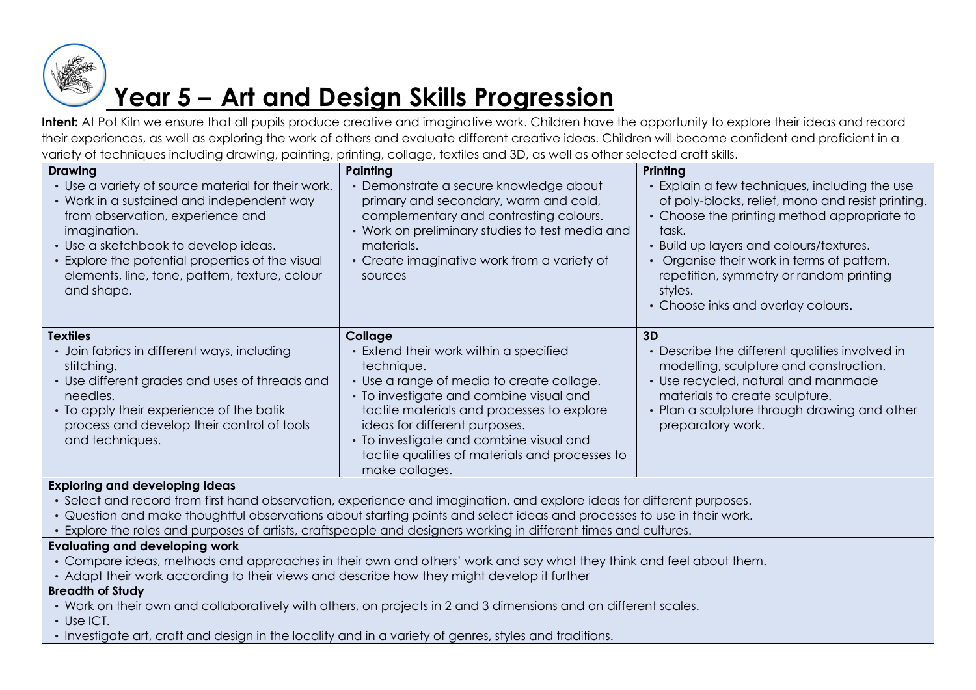

### **Year 5 – Art and Design Skills Progression**

**Intent:** At Pot Kiln we ensure that all pupils produce creative and imaginative work. Children have the opportunity to explore their ideas and record their experiences, as well as exploring the work of others and evaluate different creative ideas. Children will become confident and proficient in a variety of techniques including drawing, painting, printing, collage, textiles and 3D, as well as other selected craft skills.

| <b>Drawing</b><br>• Use a variety of source material for their work.<br>• Work in a sustained and independent way<br>from observation, experience and<br>imagination.<br>• Use a sketchbook to develop ideas.<br>• Explore the potential properties of the visual<br>elements, line, tone, pattern, texture, colour<br>and shape. | Painting<br>• Demonstrate a secure knowledge about<br>primary and secondary, warm and cold,<br>complementary and contrasting colours.<br>• Work on preliminary studies to test media and<br>materials.<br>• Create imaginative work from a variety of<br>sources                                                                                       | Printing<br>• Explain a few techniques, including the use<br>of poly-blocks, relief, mono and resist printing.<br>• Choose the printing method appropriate to<br>task.<br>• Build up layers and colours/textures.<br>• Organise their work in terms of pattern,<br>repetition, symmetry or random printing<br>styles.<br>• Choose inks and overlay colours. |
|-----------------------------------------------------------------------------------------------------------------------------------------------------------------------------------------------------------------------------------------------------------------------------------------------------------------------------------|--------------------------------------------------------------------------------------------------------------------------------------------------------------------------------------------------------------------------------------------------------------------------------------------------------------------------------------------------------|-------------------------------------------------------------------------------------------------------------------------------------------------------------------------------------------------------------------------------------------------------------------------------------------------------------------------------------------------------------|
| <b>Textiles</b><br>• Join fabrics in different ways, including<br>stitching.<br>• Use different grades and uses of threads and<br>needles.<br>• To apply their experience of the batik<br>process and develop their control of tools<br>and techniques.                                                                           | Collage<br>• Extend their work within a specified<br>technique.<br>• Use a range of media to create collage.<br>• To investigate and combine visual and<br>tactile materials and processes to explore<br>ideas for different purposes.<br>• To investigate and combine visual and<br>tactile qualities of materials and processes to<br>make collages. | 3D<br>• Describe the different qualities involved in<br>modelling, sculpture and construction.<br>• Use recycled, natural and manmade<br>materials to create sculpture.<br>• Plan a sculpture through drawing and other<br>preparatory work.                                                                                                                |
| <b>Exploring and developing ideas</b><br>• Select and record from first hand observation, experience and imagination, and explore ideas for different purposes.<br>· Question and make thoughtful observations about starting points and select ideas and processes to use in their work.                                         |                                                                                                                                                                                                                                                                                                                                                        |                                                                                                                                                                                                                                                                                                                                                             |

• Explore the roles and purposes of artists, craftspeople and designers working in different times and cultures.

### **Evaluating and developing work**

- Compare ideas, methods and approaches in their own and others' work and say what they think and feel about them.
- Adapt their work according to their views and describe how they might develop it further

- Work on their own and collaboratively with others, on projects in 2 and 3 dimensions and on different scales.
- Use ICT.
- Investigate art, craft and design in the locality and in a variety of genres, styles and traditions.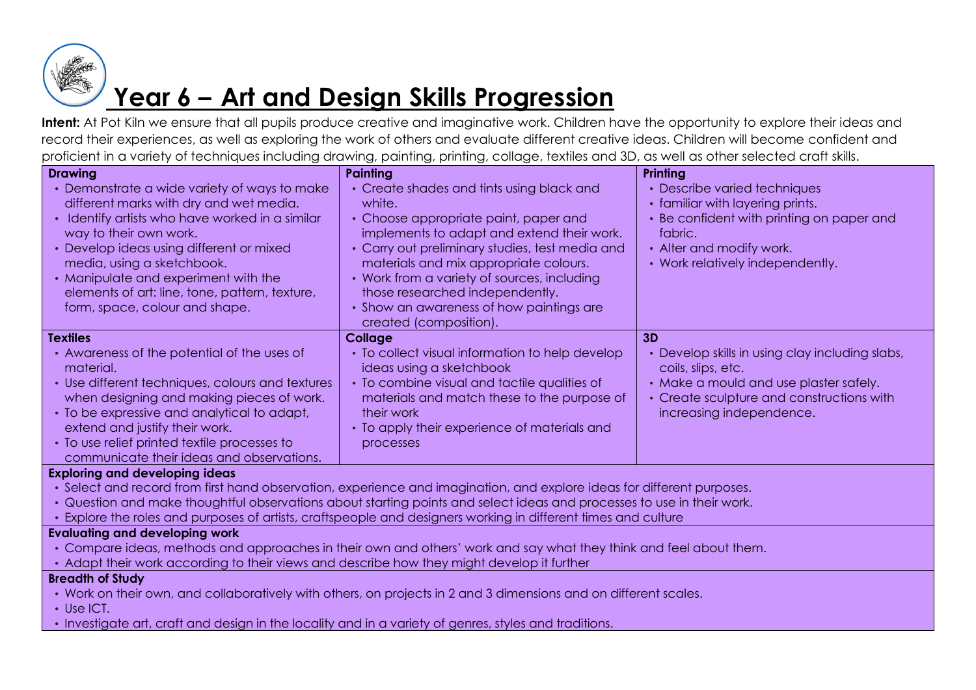

### **Year 6 – Art and Design Skills Progression**

Intent: At Pot Kiln we ensure that all pupils produce creative and imaginative work. Children have the opportunity to explore their ideas and record their experiences, as well as exploring the work of others and evaluate different creative ideas. Children will become confident and proficient in a variety of techniques including drawing, painting, printing, collage, textiles and 3D, as well as other selected craft skills.

| <b>Drawing</b>                                                                                                         | <b>Painting</b>                                                                                                        | Printing                                        |
|------------------------------------------------------------------------------------------------------------------------|------------------------------------------------------------------------------------------------------------------------|-------------------------------------------------|
| Demonstrate a wide variety of ways to make                                                                             | • Create shades and tints using black and                                                                              | • Describe varied techniques                    |
| different marks with dry and wet media.                                                                                | white.                                                                                                                 | • familiar with layering prints.                |
| Identify artists who have worked in a similar                                                                          | • Choose appropriate paint, paper and                                                                                  | • Be confident with printing on paper and       |
| way to their own work.                                                                                                 | implements to adapt and extend their work.                                                                             | fabric.                                         |
| Develop ideas using different or mixed                                                                                 | • Carry out preliminary studies, test media and                                                                        | • Alter and modify work.                        |
| media, using a sketchbook.                                                                                             | materials and mix appropriate colours.                                                                                 | • Work relatively independently.                |
| Manipulate and experiment with the                                                                                     | • Work from a variety of sources, including                                                                            |                                                 |
| elements of art: line, tone, pattern, texture,                                                                         | those researched independently.                                                                                        |                                                 |
| form, space, colour and shape.                                                                                         | • Show an awareness of how paintings are                                                                               |                                                 |
|                                                                                                                        | created (composition).                                                                                                 |                                                 |
| <b>Textiles</b>                                                                                                        | <b>Collage</b>                                                                                                         | 3D                                              |
| • Awareness of the potential of the uses of                                                                            | • To collect visual information to help develop                                                                        | • Develop skills in using clay including slabs, |
| material.                                                                                                              | ideas using a sketchbook                                                                                               | coils, slips, etc.                              |
| • Use different techniques, colours and textures                                                                       | • To combine visual and tactile qualities of                                                                           | • Make a mould and use plaster safely.          |
| when designing and making pieces of work.                                                                              | materials and match these to the purpose of                                                                            | • Create sculpture and constructions with       |
| • To be expressive and analytical to adapt,                                                                            | their work                                                                                                             | increasing independence.                        |
| extend and justify their work.                                                                                         | • To apply their experience of materials and                                                                           |                                                 |
| • To use relief printed textile processes to                                                                           | processes                                                                                                              |                                                 |
| communicate their ideas and observations.                                                                              |                                                                                                                        |                                                 |
| <b>Exploring and developing ideas</b>                                                                                  |                                                                                                                        |                                                 |
|                                                                                                                        | · Select and record from first hand observation, experience and imagination, and explore ideas for different purposes. |                                                 |
| • Question and make thoughtful observations about starting points and select ideas and processes to use in their work. |                                                                                                                        |                                                 |
| Explore the roles and purposes of artists, craftspeople and designers working in different times and culture           |                                                                                                                        |                                                 |
| <b>Evaluating and developing work</b>                                                                                  |                                                                                                                        |                                                 |
| Compare ideas, methods and approaches in their own and others' work and say what they think and feel about them.       |                                                                                                                        |                                                 |
| • Adapt their work according to their views and describe how they might develop it further                             |                                                                                                                        |                                                 |
| <b>Breadth of Study</b>                                                                                                |                                                                                                                        |                                                 |
| • Work on their own, and collaboratively with others, on projects in 2 and 3 dimensions and on different scales.       |                                                                                                                        |                                                 |
| $\cdot$ Use ICT.                                                                                                       |                                                                                                                        |                                                 |

• Investigate art, craft and design in the locality and in a variety of genres, styles and traditions.